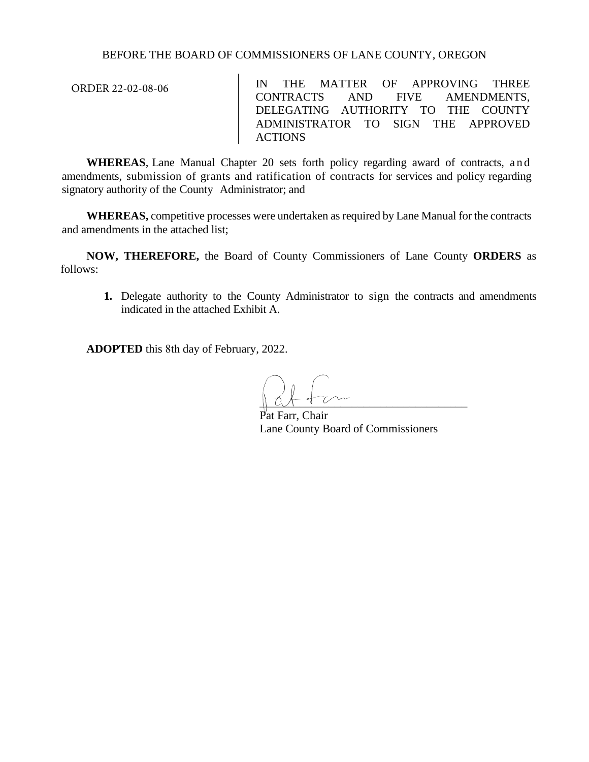## BEFORE THE BOARD OF COMMISSIONERS OF LANE COUNTY, OREGON

ORDER 22-02-08-06

IN THE MATTER OF APPROVING THREE CONTRACTS AND FIVE AMENDMENTS, DELEGATING AUTHORITY TO THE COUNTY ADMINISTRATOR TO SIGN THE APPROVED ACTIONS

**WHEREAS**, Lane Manual Chapter 20 sets forth policy regarding award of contracts, and amendments, submission of grants and ratification of contracts for services and policy regarding signatory authority of the County Administrator; and

**WHEREAS,** competitive processes were undertaken as required by Lane Manual for the contracts and amendments in the attached list;

**NOW, THEREFORE,** the Board of County Commissioners of Lane County **ORDERS** as follows:

**1.** Delegate authority to the County Administrator to sign the contracts and amendments indicated in the attached Exhibit A.

**ADOPTED** this 8th day of February, 2022.

 $\frac{1}{2}$ 

Farr, Chair Lane County Board of Commissioners